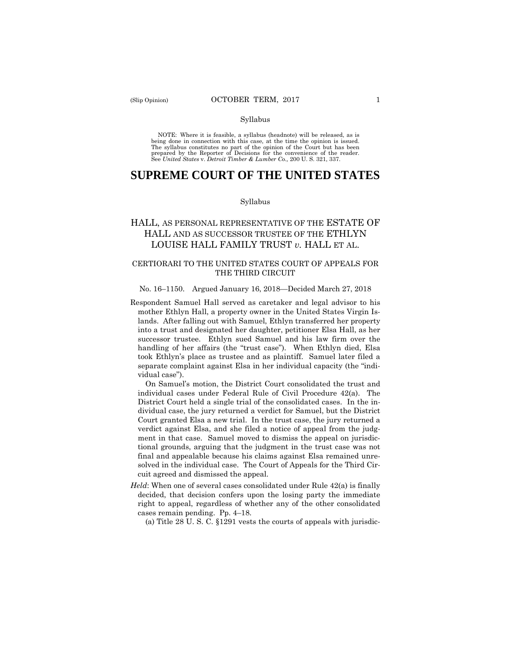#### Syllabus

 NOTE: Where it is feasible, a syllabus (headnote) will be released, as is being done in connection with this case, at the time the opinion is issued. The syllabus constitutes no part of the opinion of the Court but has been<br>prepared by the Reporter of Decisions for the convenience of the reader.<br>See United States v. Detroit Timber & Lumber Co., 200 U. S. 321, 337.

# **SUPREME COURT OF THE UNITED STATES**

#### Syllabus

# HALL, AS PERSONAL REPRESENTATIVE OF THE ESTATE OF HALL AND AS SUCCESSOR TRUSTEE OF THE ETHLYN LOUISE HALL FAMILY TRUST *v.* HALL ET AL.

# CERTIORARI TO THE UNITED STATES COURT OF APPEALS FOR THE THIRD CIRCUIT

#### No. 16–1150. Argued January 16, 2018—Decided March 27, 2018

Respondent Samuel Hall served as caretaker and legal advisor to his mother Ethlyn Hall, a property owner in the United States Virgin Islands. After falling out with Samuel, Ethlyn transferred her property into a trust and designated her daughter, petitioner Elsa Hall, as her successor trustee. Ethlyn sued Samuel and his law firm over the handling of her affairs (the "trust case"). When Ethlyn died, Elsa took Ethlyn's place as trustee and as plaintiff. Samuel later filed a separate complaint against Elsa in her individual capacity (the "individual case").

On Samuel's motion, the District Court consolidated the trust and individual cases under Federal Rule of Civil Procedure 42(a). The District Court held a single trial of the consolidated cases. In the individual case, the jury returned a verdict for Samuel, but the District Court granted Elsa a new trial. In the trust case, the jury returned a verdict against Elsa, and she filed a notice of appeal from the judgment in that case. Samuel moved to dismiss the appeal on jurisdictional grounds, arguing that the judgment in the trust case was not final and appealable because his claims against Elsa remained unresolved in the individual case. The Court of Appeals for the Third Circuit agreed and dismissed the appeal.

*Held*: When one of several cases consolidated under Rule 42(a) is finally decided, that decision confers upon the losing party the immediate right to appeal, regardless of whether any of the other consolidated cases remain pending. Pp. 4–18.

(a) Title 28 U. S. C. §1291 vests the courts of appeals with jurisdic-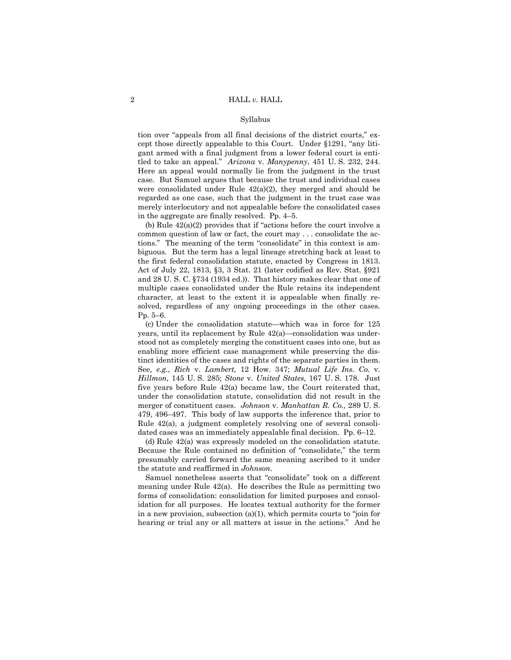#### Syllabus

tion over "appeals from all final decisions of the district courts," except those directly appealable to this Court. Under §1291, "any litigant armed with a final judgment from a lower federal court is entitled to take an appeal." *Arizona* v. *Manypenny*, 451 U. S. 232, 244. Here an appeal would normally lie from the judgment in the trust case. But Samuel argues that because the trust and individual cases were consolidated under Rule 42(a)(2), they merged and should be regarded as one case, such that the judgment in the trust case was merely interlocutory and not appealable before the consolidated cases in the aggregate are finally resolved. Pp. 4–5.

 solved, regardless of any ongoing proceedings in the other cases. (b) Rule 42(a)(2) provides that if "actions before the court involve a common question of law or fact, the court may . . . consolidate the actions." The meaning of the term "consolidate" in this context is ambiguous. But the term has a legal lineage stretching back at least to the first federal consolidation statute, enacted by Congress in 1813. Act of July 22, 1813, §3, 3 Stat. 21 (later codified as Rev. Stat. §921 and 28 U. S. C. §734 (1934 ed.)). That history makes clear that one of multiple cases consolidated under the Rule retains its independent character, at least to the extent it is appealable when finally re-Pp. 5–6.

(c) Under the consolidation statute—which was in force for 125 years, until its replacement by Rule 42(a)—consolidation was understood not as completely merging the constituent cases into one, but as enabling more efficient case management while preserving the distinct identities of the cases and rights of the separate parties in them. See, *e.g.*, *Rich* v. *Lambert,* 12 How. 347; *Mutual Life Ins. Co.* v. *Hillmon,* 145 U. S. 285; *Stone* v. *United States,* 167 U. S. 178. Just five years before Rule 42(a) became law, the Court reiterated that, under the consolidation statute, consolidation did not result in the merger of constituent cases. *Johnson* v. *Manhattan R. Co.,* 289 U. S. 479, 496–497. This body of law supports the inference that, prior to Rule 42(a), a judgment completely resolving one of several consolidated cases was an immediately appealable final decision. Pp. 6–12.

(d) Rule 42(a) was expressly modeled on the consolidation statute. Because the Rule contained no definition of "consolidate," the term presumably carried forward the same meaning ascribed to it under the statute and reaffirmed in *Johnson*.

 in a new provision, subsection (a)(1), which permits courts to "join for Samuel nonetheless asserts that "consolidate" took on a different meaning under Rule 42(a). He describes the Rule as permitting two forms of consolidation: consolidation for limited purposes and consolidation for all purposes. He locates textual authority for the former hearing or trial any or all matters at issue in the actions." And he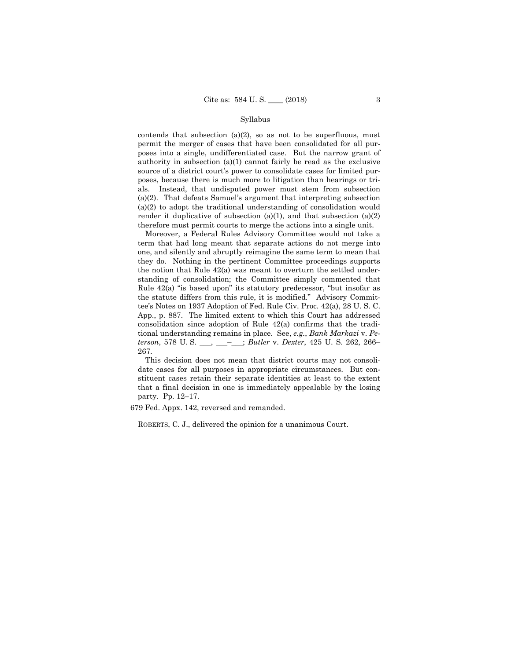#### Syllabus

contends that subsection  $(a)(2)$ , so as not to be superfluous, must permit the merger of cases that have been consolidated for all purposes into a single, undifferentiated case. But the narrow grant of authority in subsection (a)(1) cannot fairly be read as the exclusive source of a district court's power to consolidate cases for limited purposes, because there is much more to litigation than hearings or trials. Instead, that undisputed power must stem from subsection (a)(2). That defeats Samuel's argument that interpreting subsection (a)(2) to adopt the traditional understanding of consolidation would render it duplicative of subsection (a)(1), and that subsection (a)(2) therefore must permit courts to merge the actions into a single unit.

Moreover, a Federal Rules Advisory Committee would not take a term that had long meant that separate actions do not merge into one, and silently and abruptly reimagine the same term to mean that they do. Nothing in the pertinent Committee proceedings supports the notion that Rule 42(a) was meant to overturn the settled understanding of consolidation; the Committee simply commented that Rule 42(a) "is based upon" its statutory predecessor, "but insofar as the statute differs from this rule, it is modified." Advisory Committee's Notes on 1937 Adoption of Fed. Rule Civ. Proc. 42(a), 28 U. S. C. App., p. 887. The limited extent to which this Court has addressed consolidation since adoption of Rule 42(a) confirms that the traditional understanding remains in place. See, *e.g.*, *Bank Markazi* v. *Peterson*, 578 U. S. \_\_\_, \_\_\_–\_\_\_; *Butler* v. *Dexter*, 425 U. S. 262, 266– 267.

This decision does not mean that district courts may not consolidate cases for all purposes in appropriate circumstances. But constituent cases retain their separate identities at least to the extent that a final decision in one is immediately appealable by the losing party. Pp. 12–17.

679 Fed. Appx. 142, reversed and remanded.

ROBERTS, C. J., delivered the opinion for a unanimous Court.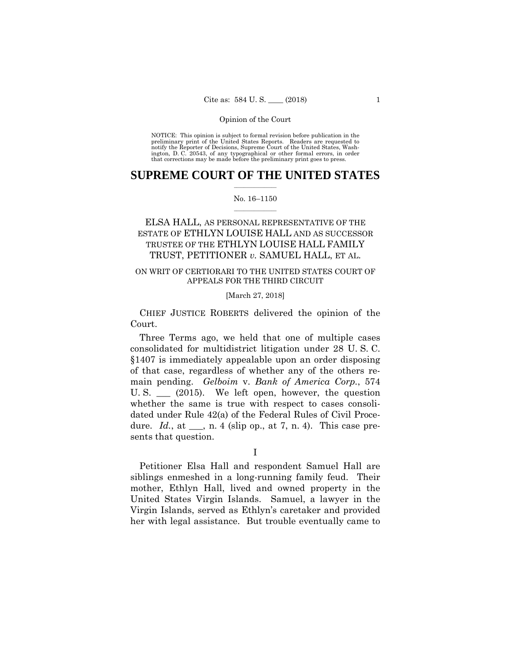preliminary print of the United States Reports. Readers are requested to notify the Reporter of Decisions, Supreme Court of the United States, Wash- ington, D. C. 20543, of any typographical or other formal errors, in order that corrections may be made before the preliminary print goes to press. NOTICE: This opinion is subject to formal revision before publication in the

# $\frac{1}{2}$  , where  $\frac{1}{2}$ **SUPREME COURT OF THE UNITED STATES**

## $\frac{1}{2}$  ,  $\frac{1}{2}$  ,  $\frac{1}{2}$  ,  $\frac{1}{2}$  ,  $\frac{1}{2}$  ,  $\frac{1}{2}$ No. 16–1150

# ESTATE OF ETHLYN LOUISE HALL AND AS SUCCESSOR TRUSTEE OF THE ETHLYN LOUISE HALL FAMILY ELSA HALL, AS PERSONAL REPRESENTATIVE OF THE TRUST, PETITIONER *v.* SAMUEL HALL, ET AL.

# ON WRIT OF CERTIORARI TO THE UNITED STATES COURT OF APPEALS FOR THE THIRD CIRCUIT

# [March 27, 2018]

 CHIEF JUSTICE ROBERTS delivered the opinion of the Court.

Three Terms ago, we held that one of multiple cases consolidated for multidistrict litigation under 28 U. S. C. §1407 is immediately appealable upon an order disposing of that case, regardless of whether any of the others remain pending. *Gelboim* v. *Bank of America Corp.*, 574 U. S. \_\_\_ (2015). We left open, however, the question whether the same is true with respect to cases consolidated under Rule 42(a) of the Federal Rules of Civil Procedure. *Id.*, at \_\_\_, n. 4 (slip op., at 7, n. 4). This case presents that question.

I

Petitioner Elsa Hall and respondent Samuel Hall are siblings enmeshed in a long-running family feud. Their mother, Ethlyn Hall, lived and owned property in the United States Virgin Islands. Samuel, a lawyer in the Virgin Islands, served as Ethlyn's caretaker and provided her with legal assistance. But trouble eventually came to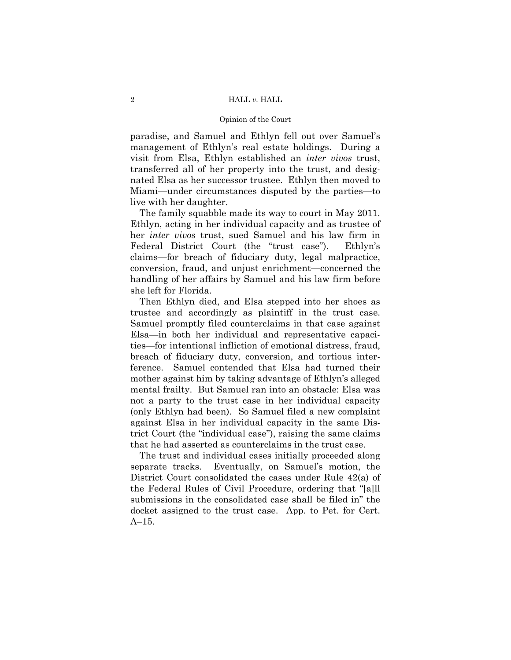## Opinion of the Court

paradise, and Samuel and Ethlyn fell out over Samuel's management of Ethlyn's real estate holdings. During a visit from Elsa, Ethlyn established an *inter vivos* trust, transferred all of her property into the trust, and designated Elsa as her successor trustee. Ethlyn then moved to Miami—under circumstances disputed by the parties—to live with her daughter.

The family squabble made its way to court in May 2011. Ethlyn, acting in her individual capacity and as trustee of her *inter vivos* trust, sued Samuel and his law firm in Federal District Court (the "trust case"). Ethlyn's claims—for breach of fiduciary duty, legal malpractice, conversion, fraud, and unjust enrichment—concerned the handling of her affairs by Samuel and his law firm before she left for Florida.

Then Ethlyn died, and Elsa stepped into her shoes as trustee and accordingly as plaintiff in the trust case. Samuel promptly filed counterclaims in that case against Elsa—in both her individual and representative capacities—for intentional infliction of emotional distress, fraud, breach of fiduciary duty, conversion, and tortious interference. Samuel contended that Elsa had turned their mother against him by taking advantage of Ethlyn's alleged mental frailty. But Samuel ran into an obstacle: Elsa was not a party to the trust case in her individual capacity (only Ethlyn had been). So Samuel filed a new complaint against Elsa in her individual capacity in the same District Court (the "individual case"), raising the same claims that he had asserted as counterclaims in the trust case.

The trust and individual cases initially proceeded along separate tracks. Eventually, on Samuel's motion, the District Court consolidated the cases under Rule 42(a) of the Federal Rules of Civil Procedure, ordering that "[a]ll submissions in the consolidated case shall be filed in" the docket assigned to the trust case. App. to Pet. for Cert. A–15.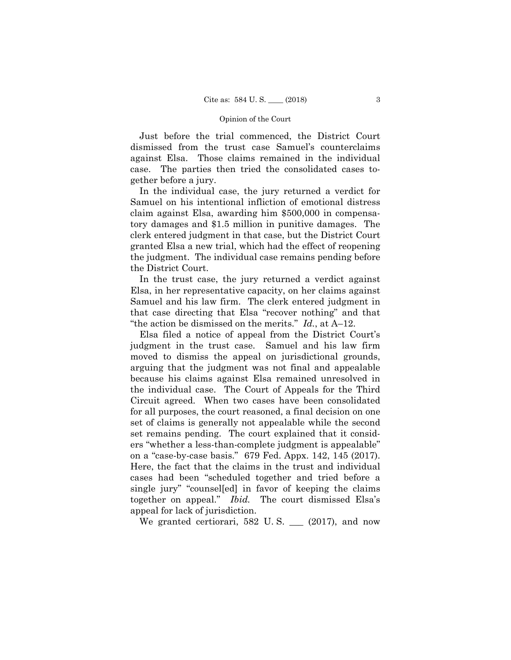Just before the trial commenced, the District Court dismissed from the trust case Samuel's counterclaims against Elsa. Those claims remained in the individual case. The parties then tried the consolidated cases together before a jury.

In the individual case, the jury returned a verdict for Samuel on his intentional infliction of emotional distress claim against Elsa, awarding him \$500,000 in compensatory damages and \$1.5 million in punitive damages. The clerk entered judgment in that case, but the District Court granted Elsa a new trial, which had the effect of reopening the judgment. The individual case remains pending before the District Court.

In the trust case, the jury returned a verdict against Elsa, in her representative capacity, on her claims against Samuel and his law firm. The clerk entered judgment in that case directing that Elsa "recover nothing" and that "the action be dismissed on the merits." *Id.*, at A–12.

Elsa filed a notice of appeal from the District Court's judgment in the trust case. Samuel and his law firm moved to dismiss the appeal on jurisdictional grounds, arguing that the judgment was not final and appealable because his claims against Elsa remained unresolved in the individual case. The Court of Appeals for the Third Circuit agreed. When two cases have been consolidated for all purposes, the court reasoned, a final decision on one set of claims is generally not appealable while the second set remains pending. The court explained that it considers "whether a less-than-complete judgment is appealable" on a "case-by-case basis." 679 Fed. Appx. 142, 145 (2017). Here, the fact that the claims in the trust and individual cases had been "scheduled together and tried before a single jury" "counsel[ed] in favor of keeping the claims together on appeal." *Ibid.* The court dismissed Elsa's appeal for lack of jurisdiction.

We granted certiorari,  $582$  U.S.  $\_\_$  (2017), and now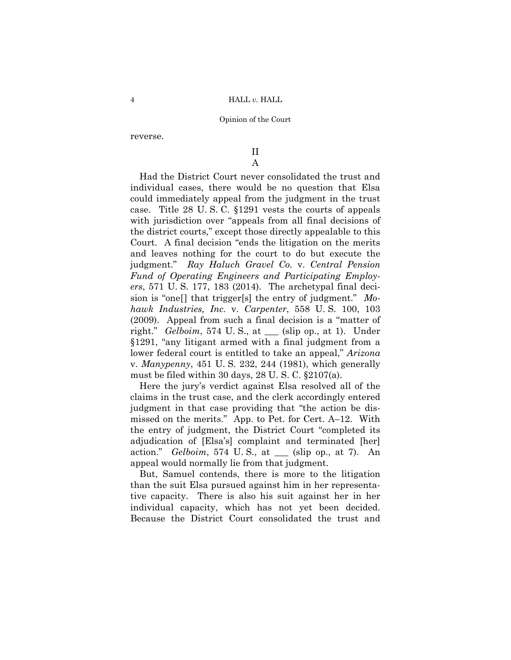reverse.

# II A

 judgment." *Ray Haluch Gravel Co.* v. *Central Pension*  Had the District Court never consolidated the trust and individual cases, there would be no question that Elsa could immediately appeal from the judgment in the trust case. Title 28 U. S. C. §1291 vests the courts of appeals with jurisdiction over "appeals from all final decisions of the district courts," except those directly appealable to this Court. A final decision "ends the litigation on the merits and leaves nothing for the court to do but execute the *Fund of Operating Engineers and Participating Employers*, 571 U. S. 177, 183 (2014). The archetypal final decision is "one[] that trigger[s] the entry of judgment." *Mohawk Industries, Inc.* v. *Carpenter*, 558 U. S. 100, 103 (2009). Appeal from such a final decision is a "matter of right." *Gelboim*, 574 U. S., at \_\_\_ (slip op., at 1). Under §1291, "any litigant armed with a final judgment from a lower federal court is entitled to take an appeal," *Arizona*  v. *Manypenny*, 451 U. S. 232, 244 (1981), which generally must be filed within 30 days, 28 U. S. C. §2107(a).

Here the jury's verdict against Elsa resolved all of the claims in the trust case, and the clerk accordingly entered judgment in that case providing that "the action be dismissed on the merits." App. to Pet. for Cert. A–12. With the entry of judgment, the District Court "completed its adjudication of [Elsa's] complaint and terminated [her] action." *Gelboim*, 574 U. S., at \_\_\_ (slip op., at 7). An appeal would normally lie from that judgment.

But, Samuel contends, there is more to the litigation than the suit Elsa pursued against him in her representative capacity. There is also his suit against her in her individual capacity, which has not yet been decided. Because the District Court consolidated the trust and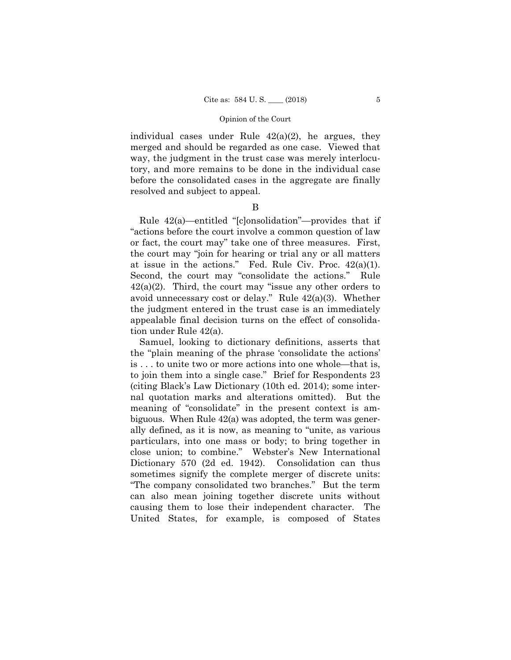individual cases under Rule  $42(a)(2)$ , he argues, they merged and should be regarded as one case. Viewed that way, the judgment in the trust case was merely interlocutory, and more remains to be done in the individual case before the consolidated cases in the aggregate are finally resolved and subject to appeal.

# B

Rule 42(a)—entitled "[c]onsolidation"—provides that if "actions before the court involve a common question of law or fact, the court may" take one of three measures. First, the court may "join for hearing or trial any or all matters at issue in the actions." Fed. Rule Civ. Proc.  $42(a)(1)$ . Second, the court may "consolidate the actions." Rule  $42(a)(2)$ . Third, the court may "issue any other orders to avoid unnecessary cost or delay." Rule 42(a)(3). Whether the judgment entered in the trust case is an immediately appealable final decision turns on the effect of consolidation under Rule 42(a).

Samuel, looking to dictionary definitions, asserts that the "plain meaning of the phrase 'consolidate the actions' is . . . to unite two or more actions into one whole—that is, to join them into a single case." Brief for Respondents 23 (citing Black's Law Dictionary (10th ed. 2014); some internal quotation marks and alterations omitted). But the meaning of "consolidate" in the present context is ambiguous. When Rule 42(a) was adopted, the term was generally defined, as it is now, as meaning to "unite, as various particulars, into one mass or body; to bring together in close union; to combine." Webster's New International Dictionary 570 (2d ed. 1942). Consolidation can thus sometimes signify the complete merger of discrete units: "The company consolidated two branches." But the term can also mean joining together discrete units without causing them to lose their independent character. The United States, for example, is composed of States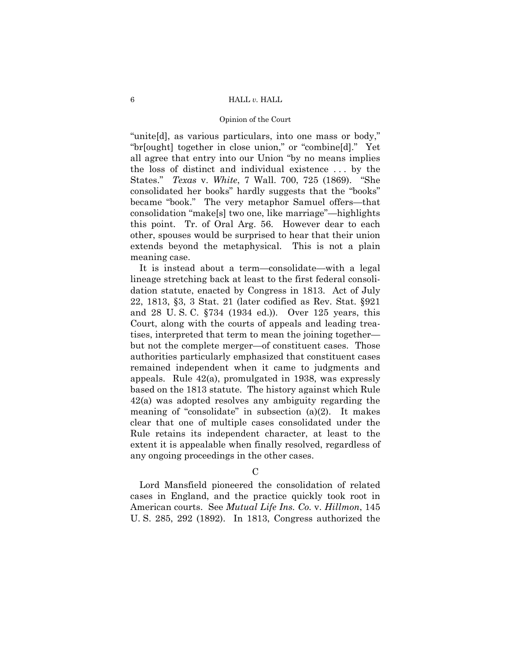## Opinion of the Court

"unite[d], as various particulars, into one mass or body," "br[ought] together in close union," or "combine[d]." Yet all agree that entry into our Union "by no means implies the loss of distinct and individual existence . . . by the States." *Texas* v. *White*, 7 Wall. 700, 725 (1869). "She consolidated her books" hardly suggests that the "books" became "book." The very metaphor Samuel offers—that consolidation "make[s] two one, like marriage"—highlights this point. Tr. of Oral Arg. 56. However dear to each other, spouses would be surprised to hear that their union extends beyond the metaphysical. This is not a plain meaning case.

It is instead about a term—consolidate—with a legal lineage stretching back at least to the first federal consolidation statute, enacted by Congress in 1813. Act of July 22, 1813, §3, 3 Stat. 21 (later codified as Rev. Stat. §921 and 28 U. S. C. §734 (1934 ed.)). Over 125 years, this Court, along with the courts of appeals and leading treatises, interpreted that term to mean the joining together but not the complete merger—of constituent cases. Those authorities particularly emphasized that constituent cases remained independent when it came to judgments and appeals. Rule 42(a), promulgated in 1938, was expressly based on the 1813 statute. The history against which Rule 42(a) was adopted resolves any ambiguity regarding the meaning of "consolidate" in subsection (a)(2). It makes clear that one of multiple cases consolidated under the Rule retains its independent character, at least to the extent it is appealable when finally resolved, regardless of any ongoing proceedings in the other cases.

C

Lord Mansfield pioneered the consolidation of related cases in England, and the practice quickly took root in American courts. See *Mutual Life Ins. Co.* v. *Hillmon*, 145 U. S. 285, 292 (1892). In 1813, Congress authorized the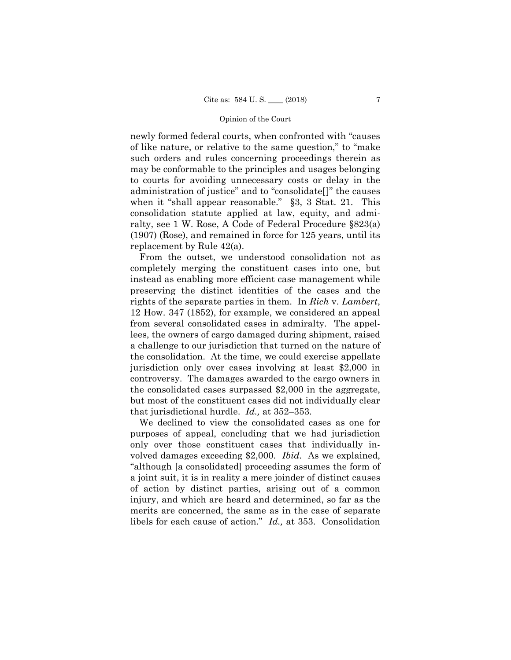newly formed federal courts, when confronted with "causes of like nature, or relative to the same question," to "make such orders and rules concerning proceedings therein as may be conformable to the principles and usages belonging to courts for avoiding unnecessary costs or delay in the administration of justice" and to "consolidate[]" the causes when it "shall appear reasonable." §3, 3 Stat. 21. This consolidation statute applied at law, equity, and admiralty, see 1 W. Rose, A Code of Federal Procedure §823(a) (1907) (Rose), and remained in force for 125 years, until its replacement by Rule 42(a).

From the outset, we understood consolidation not as completely merging the constituent cases into one, but instead as enabling more efficient case management while preserving the distinct identities of the cases and the rights of the separate parties in them. In *Rich* v. *Lambert*, 12 How. 347 (1852), for example, we considered an appeal from several consolidated cases in admiralty. The appellees, the owners of cargo damaged during shipment, raised a challenge to our jurisdiction that turned on the nature of the consolidation. At the time, we could exercise appellate jurisdiction only over cases involving at least \$2,000 in controversy. The damages awarded to the cargo owners in the consolidated cases surpassed \$2,000 in the aggregate, but most of the constituent cases did not individually clear that jurisdictional hurdle. *Id.,* at 352–353.

We declined to view the consolidated cases as one for purposes of appeal, concluding that we had jurisdiction only over those constituent cases that individually involved damages exceeding \$2,000. *Ibid.* As we explained, "although [a consolidated] proceeding assumes the form of a joint suit, it is in reality a mere joinder of distinct causes of action by distinct parties, arising out of a common injury, and which are heard and determined, so far as the merits are concerned, the same as in the case of separate libels for each cause of action." *Id.,* at 353. Consolidation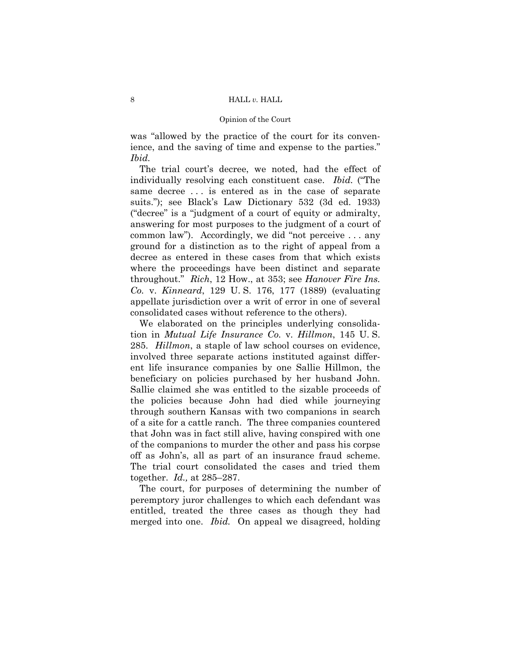## Opinion of the Court

was "allowed by the practice of the court for its convenience, and the saving of time and expense to the parties." *Ibid.* 

 throughout." *Rich*, 12 How., at 353; see *Hanover Fire Ins.*  The trial court's decree, we noted, had the effect of individually resolving each constituent case. *Ibid.* ("The same decree ... is entered as in the case of separate suits."); see Black's Law Dictionary 532 (3d ed. 1933) ("decree" is a "judgment of a court of equity or admiralty, answering for most purposes to the judgment of a court of common law"). Accordingly, we did "not perceive . . . any ground for a distinction as to the right of appeal from a decree as entered in these cases from that which exists where the proceedings have been distinct and separate *Co.* v. *Kinneard*, 129 U. S. 176, 177 (1889) (evaluating appellate jurisdiction over a writ of error in one of several consolidated cases without reference to the others).

We elaborated on the principles underlying consolidation in *Mutual Life Insurance Co.* v. *Hillmon*, 145 U. S. 285. *Hillmon*, a staple of law school courses on evidence, involved three separate actions instituted against different life insurance companies by one Sallie Hillmon, the beneficiary on policies purchased by her husband John. Sallie claimed she was entitled to the sizable proceeds of the policies because John had died while journeying through southern Kansas with two companions in search of a site for a cattle ranch. The three companies countered that John was in fact still alive, having conspired with one of the companions to murder the other and pass his corpse off as John's, all as part of an insurance fraud scheme. The trial court consolidated the cases and tried them together. *Id.,* at 285–287.

The court, for purposes of determining the number of peremptory juror challenges to which each defendant was entitled, treated the three cases as though they had merged into one. *Ibid.* On appeal we disagreed, holding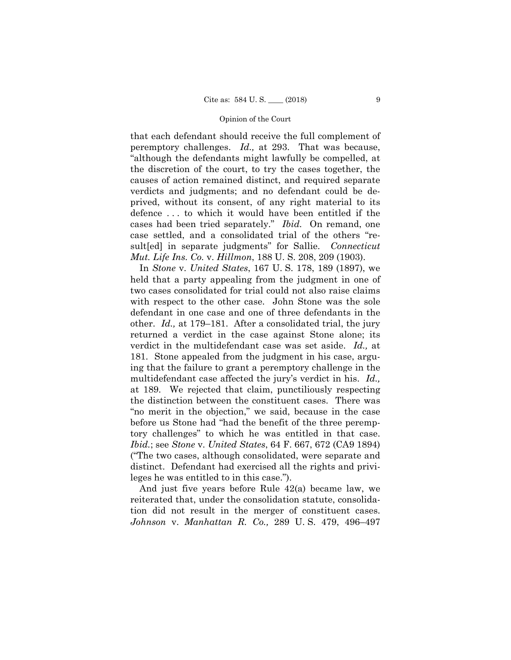that each defendant should receive the full complement of peremptory challenges. *Id.,* at 293. That was because, "although the defendants might lawfully be compelled, at the discretion of the court, to try the cases together, the causes of action remained distinct, and required separate verdicts and judgments; and no defendant could be deprived, without its consent, of any right material to its defence . . . to which it would have been entitled if the cases had been tried separately." *Ibid.* On remand, one case settled, and a consolidated trial of the others "result[ed] in separate judgments" for Sallie. *Connecticut Mut. Life Ins. Co.* v. *Hillmon*, 188 U. S. 208, 209 (1903).

 defendant in one case and one of three defendants in the In *Stone* v. *United States*, 167 U. S. 178, 189 (1897), we held that a party appealing from the judgment in one of two cases consolidated for trial could not also raise claims with respect to the other case. John Stone was the sole other. *Id.,* at 179–181. After a consolidated trial, the jury returned a verdict in the case against Stone alone; its verdict in the multidefendant case was set aside. *Id.,* at 181. Stone appealed from the judgment in his case, arguing that the failure to grant a peremptory challenge in the multidefendant case affected the jury's verdict in his. *Id.,*  at 189. We rejected that claim, punctiliously respecting the distinction between the constituent cases. There was "no merit in the objection," we said, because in the case before us Stone had "had the benefit of the three peremptory challenges" to which he was entitled in that case. *Ibid.*; see *Stone* v. *United States*, 64 F. 667, 672 (CA9 1894) ("The two cases, although consolidated, were separate and distinct. Defendant had exercised all the rights and privileges he was entitled to in this case.").

And just five years before Rule 42(a) became law, we reiterated that, under the consolidation statute, consolidation did not result in the merger of constituent cases. *Johnson* v. *Manhattan R. Co.,* 289 U. S. 479, 496–497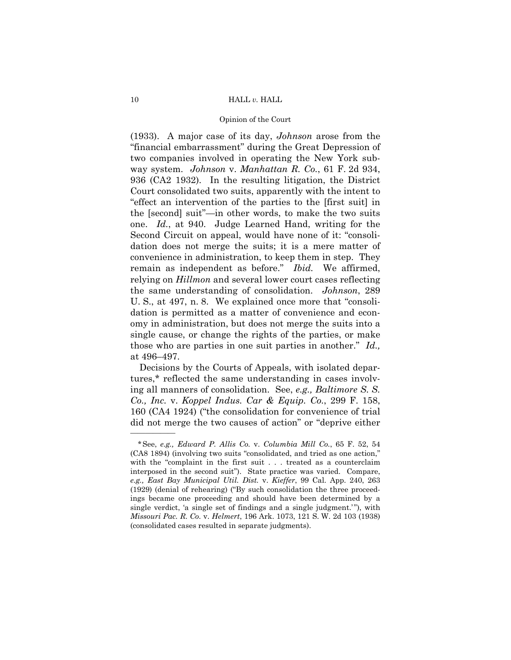## Opinion of the Court

 remain as independent as before." *Ibid.* We affirmed, (1933). A major case of its day, *Johnson* arose from the "financial embarrassment" during the Great Depression of two companies involved in operating the New York subway system. *Johnson* v. *Manhattan R. Co.*, 61 F. 2d 934, 936 (CA2 1932). In the resulting litigation, the District Court consolidated two suits, apparently with the intent to "effect an intervention of the parties to the [first suit] in the [second] suit"—in other words, to make the two suits one. *Id.*, at 940. Judge Learned Hand, writing for the Second Circuit on appeal, would have none of it: "consolidation does not merge the suits; it is a mere matter of convenience in administration, to keep them in step. They relying on *Hillmon* and several lower court cases reflecting the same understanding of consolidation. *Johnson*, 289 U. S., at 497, n. 8. We explained once more that "consolidation is permitted as a matter of convenience and economy in administration, but does not merge the suits into a single cause, or change the rights of the parties, or make those who are parties in one suit parties in another." *Id.,*  at 496–497.

Decisions by the Courts of Appeals, with isolated departures,\* reflected the same understanding in cases involving all manners of consolidation. See, *e.g., Baltimore S. S. Co., Inc.* v. *Koppel Indus. Car & Equip. Co.*, 299 F. 158, 160 (CA4 1924) ("the consolidation for convenience of trial did not merge the two causes of action" or "deprive either

——————

<sup>\*</sup>See, *e.g., Edward P. Allis Co.* v. *Columbia Mill Co.*, 65 F. 52, 54 (CA8 1894) (involving two suits "consolidated, and tried as one action," with the "complaint in the first suit . . . treated as a counterclaim interposed in the second suit"). State practice was varied. Compare, *e.g., East Bay Municipal Util. Dist.* v. *Kieffer*, 99 Cal. App. 240, 263 (1929) (denial of rehearing) ("By such consolidation the three proceedings became one proceeding and should have been determined by a single verdict, 'a single set of findings and a single judgment.' "), with *Missouri Pac. R. Co.* v. *Helmert*, 196 Ark. 1073, 121 S. W. 2d 103 (1938) (consolidated cases resulted in separate judgments).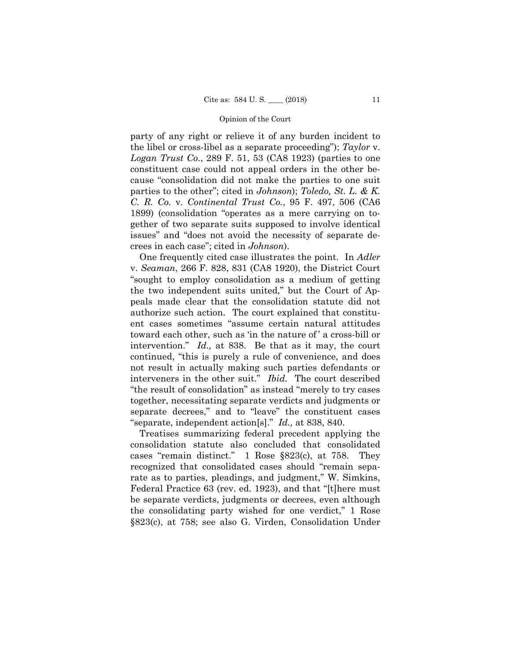party of any right or relieve it of any burden incident to the libel or cross-libel as a separate proceeding"); *Taylor* v. *Logan Trust Co.*, 289 F. 51, 53 (CA8 1923) (parties to one constituent case could not appeal orders in the other because "consolidation did not make the parties to one suit parties to the other"; cited in *Johnson*); *Toledo, St. L. & K. C. R. Co.* v. *Continental Trust Co.*, 95 F. 497, 506 (CA6 1899) (consolidation "operates as a mere carrying on together of two separate suits supposed to involve identical issues" and "does not avoid the necessity of separate decrees in each case"; cited in *Johnson*).

One frequently cited case illustrates the point. In *Adler*  v. *Seaman*, 266 F. 828, 831 (CA8 1920), the District Court "sought to employ consolidation as a medium of getting the two independent suits united," but the Court of Appeals made clear that the consolidation statute did not authorize such action. The court explained that constituent cases sometimes "assume certain natural attitudes toward each other, such as 'in the nature of ' a cross-bill or intervention." *Id.,* at 838. Be that as it may, the court continued, "this is purely a rule of convenience, and does not result in actually making such parties defendants or interveners in the other suit." *Ibid.* The court described "the result of consolidation" as instead "merely to try cases together, necessitating separate verdicts and judgments or separate decrees," and to "leave" the constituent cases "separate, independent action[s]." *Id.,* at 838, 840.

Treatises summarizing federal precedent applying the consolidation statute also concluded that consolidated cases "remain distinct." 1 Rose §823(c), at 758. They recognized that consolidated cases should "remain separate as to parties, pleadings, and judgment," W. Simkins, Federal Practice 63 (rev. ed. 1923), and that "[t]here must be separate verdicts, judgments or decrees, even although the consolidating party wished for one verdict," 1 Rose §823(c), at 758; see also G. Virden, Consolidation Under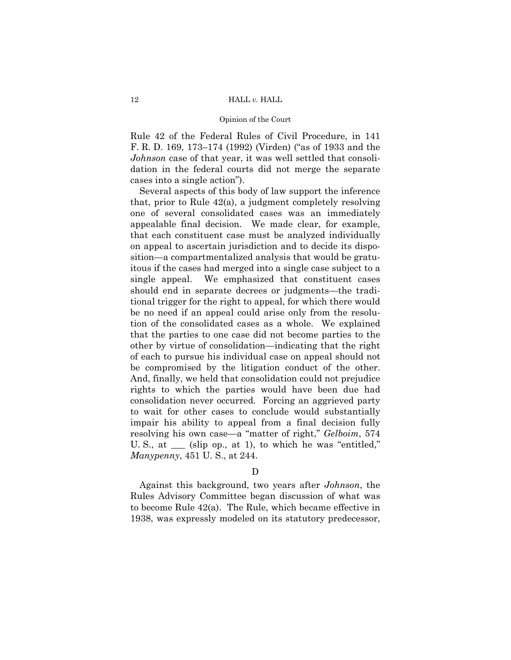## Opinion of the Court

Rule 42 of the Federal Rules of Civil Procedure, in 141 F. R. D. 169, 173–174 (1992) (Virden) ("as of 1933 and the *Johnson* case of that year, it was well settled that consolidation in the federal courts did not merge the separate cases into a single action").

 tion of the consolidated cases as a whole. We explained Several aspects of this body of law support the inference that, prior to Rule 42(a), a judgment completely resolving one of several consolidated cases was an immediately appealable final decision. We made clear, for example, that each constituent case must be analyzed individually on appeal to ascertain jurisdiction and to decide its disposition—a compartmentalized analysis that would be gratuitous if the cases had merged into a single case subject to a single appeal. We emphasized that constituent cases should end in separate decrees or judgments—the traditional trigger for the right to appeal, for which there would be no need if an appeal could arise only from the resoluthat the parties to one case did not become parties to the other by virtue of consolidation—indicating that the right of each to pursue his individual case on appeal should not be compromised by the litigation conduct of the other. And, finally, we held that consolidation could not prejudice rights to which the parties would have been due had consolidation never occurred. Forcing an aggrieved party to wait for other cases to conclude would substantially impair his ability to appeal from a final decision fully resolving his own case—a "matter of right," *Gelboim*, 574 U. S., at \_\_\_ (slip op., at 1), to which he was "entitled," *Manypenny*, 451 U. S., at 244.

# $\mathbf D$

Against this background, two years after *Johnson*, the Rules Advisory Committee began discussion of what was to become Rule 42(a). The Rule, which became effective in 1938, was expressly modeled on its statutory predecessor,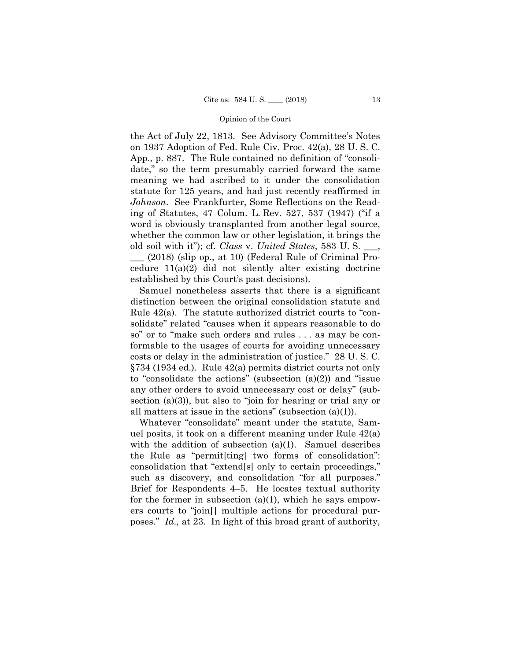the Act of July 22, 1813. See Advisory Committee's Notes on 1937 Adoption of Fed. Rule Civ. Proc. 42(a), 28 U. S. C. App., p. 887. The Rule contained no definition of "consolidate," so the term presumably carried forward the same meaning we had ascribed to it under the consolidation statute for 125 years, and had just recently reaffirmed in *Johnson*. See Frankfurter, Some Reflections on the Reading of Statutes, 47 Colum. L. Rev. 527, 537 (1947) ("if a word is obviously transplanted from another legal source, whether the common law or other legislation, it brings the old soil with it"); cf. *Class* v. *United States*, 583 U. S. \_\_\_,

 $(2018)$  (slip op., at 10) (Federal Rule of Criminal Procedure 11(a)(2) did not silently alter existing doctrine established by this Court's past decisions).

Samuel nonetheless asserts that there is a significant distinction between the original consolidation statute and Rule 42(a). The statute authorized district courts to "consolidate" related "causes when it appears reasonable to do so" or to "make such orders and rules . . . as may be conformable to the usages of courts for avoiding unnecessary costs or delay in the administration of justice." 28 U. S. C. §734 (1934 ed.). Rule 42(a) permits district courts not only to "consolidate the actions" (subsection  $(a)(2)$ ) and "issue any other orders to avoid unnecessary cost or delay" (subsection (a)(3)), but also to "join for hearing or trial any or all matters at issue in the actions" (subsection (a)(1)).

poses." *Id.*, at 23. In light of this broad grant of authority, Whatever "consolidate" meant under the statute, Samuel posits, it took on a different meaning under Rule 42(a) with the addition of subsection (a)(1). Samuel describes the Rule as "permit[ting] two forms of consolidation": consolidation that "extend[s] only to certain proceedings," such as discovery, and consolidation "for all purposes." Brief for Respondents 4–5. He locates textual authority for the former in subsection  $(a)(1)$ , which he says empowers courts to "join[] multiple actions for procedural pur-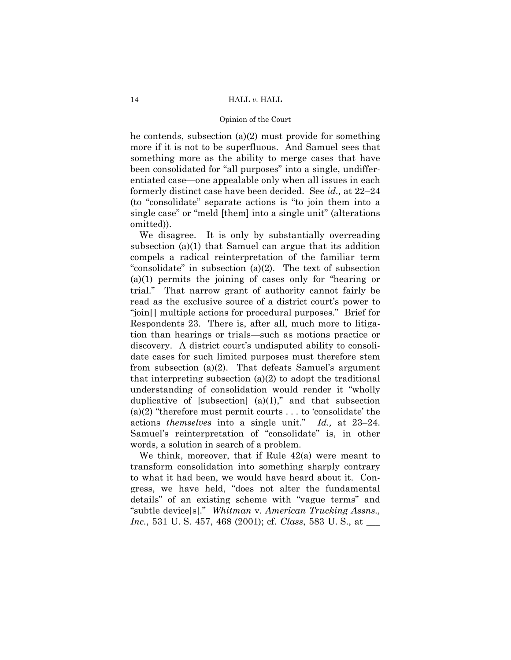he contends, subsection (a)(2) must provide for something more if it is not to be superfluous. And Samuel sees that something more as the ability to merge cases that have been consolidated for "all purposes" into a single, undifferentiated case—one appealable only when all issues in each formerly distinct case have been decided. See *id.,* at 22–24 (to "consolidate" separate actions is "to join them into a single case" or "meld [them] into a single unit" (alterations omitted)).

We disagree. It is only by substantially overreading subsection (a)(1) that Samuel can argue that its addition compels a radical reinterpretation of the familiar term "consolidate" in subsection (a)(2). The text of subsection (a)(1) permits the joining of cases only for "hearing or trial." That narrow grant of authority cannot fairly be read as the exclusive source of a district court's power to "join[] multiple actions for procedural purposes." Brief for Respondents 23. There is, after all, much more to litigation than hearings or trials—such as motions practice or discovery. A district court's undisputed ability to consolidate cases for such limited purposes must therefore stem from subsection (a)(2). That defeats Samuel's argument that interpreting subsection (a)(2) to adopt the traditional understanding of consolidation would render it "wholly duplicative of [subsection]  $(a)(1)$ ," and that subsection (a)(2) "therefore must permit courts  $\dots$  to 'consolidate' the actions *themselves* into a single unit." *Id.,* at 23–24. Samuel's reinterpretation of "consolidate" is, in other words, a solution in search of a problem.

We think, moreover, that if Rule 42(a) were meant to transform consolidation into something sharply contrary to what it had been, we would have heard about it. Congress, we have held, "does not alter the fundamental details" of an existing scheme with "vague terms" and "subtle device[s]." *Whitman* v. *American Trucking Assns., Inc.*, 531 U. S. 457, 468 (2001); cf. *Class*, 583 U. S., at \_\_\_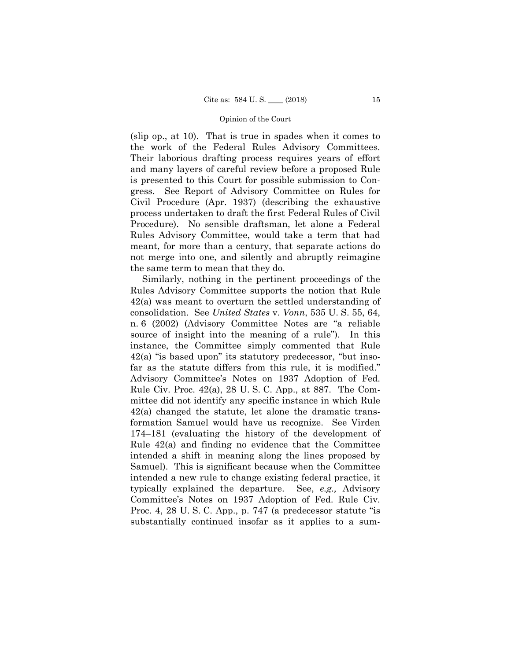(slip op., at 10). That is true in spades when it comes to the work of the Federal Rules Advisory Committees. Their laborious drafting process requires years of effort and many layers of careful review before a proposed Rule is presented to this Court for possible submission to Congress. See Report of Advisory Committee on Rules for Civil Procedure (Apr. 1937) (describing the exhaustive process undertaken to draft the first Federal Rules of Civil Procedure). No sensible draftsman, let alone a Federal Rules Advisory Committee, would take a term that had meant, for more than a century, that separate actions do not merge into one, and silently and abruptly reimagine the same term to mean that they do.

Similarly, nothing in the pertinent proceedings of the Rules Advisory Committee supports the notion that Rule 42(a) was meant to overturn the settled understanding of consolidation. See *United States* v. *Vonn*, 535 U. S. 55, 64, n. 6 (2002) (Advisory Committee Notes are "a reliable source of insight into the meaning of a rule"). In this instance, the Committee simply commented that Rule 42(a) "is based upon" its statutory predecessor, "but insofar as the statute differs from this rule, it is modified." Advisory Committee's Notes on 1937 Adoption of Fed. Rule Civ. Proc. 42(a), 28 U. S. C. App., at 887. The Committee did not identify any specific instance in which Rule 42(a) changed the statute, let alone the dramatic transformation Samuel would have us recognize. See Virden 174–181 (evaluating the history of the development of Rule 42(a) and finding no evidence that the Committee intended a shift in meaning along the lines proposed by Samuel). This is significant because when the Committee intended a new rule to change existing federal practice, it typically explained the departure. See, *e.g.,* Advisory Committee's Notes on 1937 Adoption of Fed. Rule Civ. Proc. 4, 28 U. S. C. App., p. 747 (a predecessor statute "is substantially continued insofar as it applies to a sum-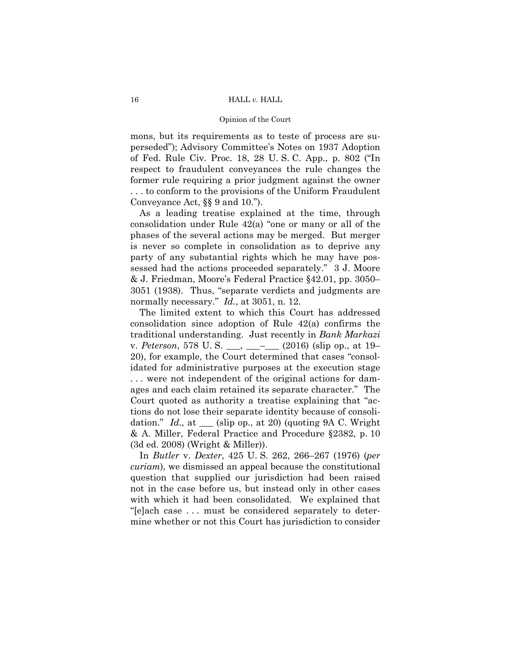## Opinion of the Court

mons, but its requirements as to teste of process are superseded"); Advisory Committee's Notes on 1937 Adoption of Fed. Rule Civ. Proc. 18, 28 U. S. C. App., p. 802 ("In respect to fraudulent conveyances the rule changes the former rule requiring a prior judgment against the owner . . . to conform to the provisions of the Uniform Fraudulent Conveyance Act, §§ 9 and 10.").

As a leading treatise explained at the time, through consolidation under Rule 42(a) "one or many or all of the phases of the several actions may be merged. But merger is never so complete in consolidation as to deprive any party of any substantial rights which he may have possessed had the actions proceeded separately." 3 J. Moore & J. Friedman, Moore's Federal Practice §42.01, pp. 3050– 3051 (1938). Thus, "separate verdicts and judgments are normally necessary." *Id.*, at 3051, n. 12.

The limited extent to which this Court has addressed consolidation since adoption of Rule 42(a) confirms the traditional understanding. Just recently in *Bank Markazi*  v. *Peterson*, 578 U. S. \_\_\_, \_\_\_–\_\_\_ (2016) (slip op., at 19– 20), for example, the Court determined that cases "consolidated for administrative purposes at the execution stage . . . were not independent of the original actions for damages and each claim retained its separate character." The Court quoted as authority a treatise explaining that "actions do not lose their separate identity because of consolidation." *Id.,* at \_\_\_ (slip op., at 20) (quoting 9A C. Wright & A. Miller, Federal Practice and Procedure §2382, p. 10 (3d ed. 2008) (Wright & Miller)).

In *Butler* v. *Dexter*, 425 U. S. 262, 266–267 (1976) (*per curiam*), we dismissed an appeal because the constitutional question that supplied our jurisdiction had been raised not in the case before us, but instead only in other cases with which it had been consolidated. We explained that "[e]ach case . . . must be considered separately to determine whether or not this Court has jurisdiction to consider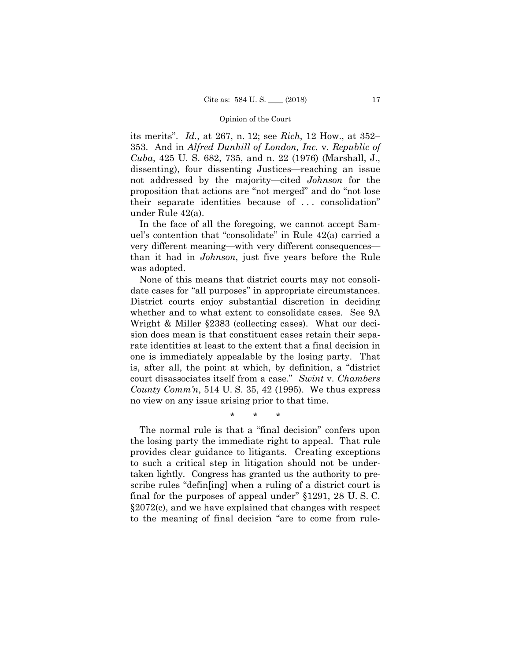its merits". *Id.*, at 267, n. 12; see *Rich*, 12 How., at 352– 353. And in *Alfred Dunhill of London, Inc.* v. *Republic of Cuba*, 425 U. S. 682, 735, and n. 22 (1976) (Marshall, J., dissenting), four dissenting Justices—reaching an issue not addressed by the majority—cited *Johnson* for the proposition that actions are "not merged" and do "not lose their separate identities because of . . . consolidation" under Rule 42(a).

In the face of all the foregoing, we cannot accept Samuel's contention that "consolidate" in Rule 42(a) carried a very different meaning—with very different consequences than it had in *Johnson*, just five years before the Rule was adopted.

None of this means that district courts may not consolidate cases for "all purposes" in appropriate circumstances. District courts enjoy substantial discretion in deciding whether and to what extent to consolidate cases. See 9A Wright & Miller §2383 (collecting cases). What our decision does mean is that constituent cases retain their separate identities at least to the extent that a final decision in one is immediately appealable by the losing party. That is, after all, the point at which, by definition, a "district court disassociates itself from a case." *Swint* v. *Chambers County Comm'n*, 514 U. S. 35, 42 (1995). We thus express no view on any issue arising prior to that time.

\* \* \*

The normal rule is that a "final decision" confers upon the losing party the immediate right to appeal. That rule provides clear guidance to litigants. Creating exceptions to such a critical step in litigation should not be undertaken lightly. Congress has granted us the authority to prescribe rules "defin[ing] when a ruling of a district court is final for the purposes of appeal under" §1291, 28 U. S. C. §2072(c), and we have explained that changes with respect to the meaning of final decision "are to come from rule-